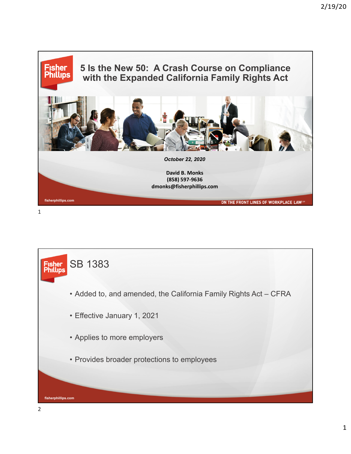

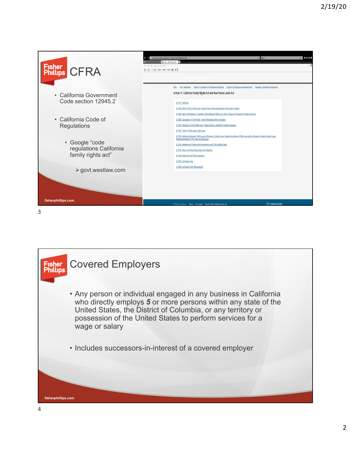

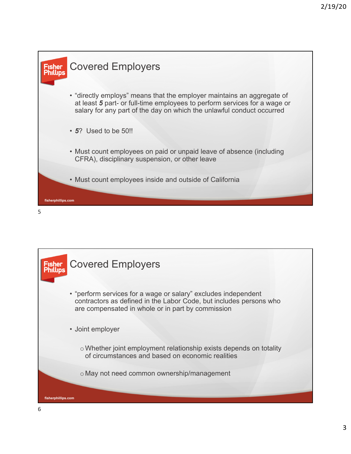

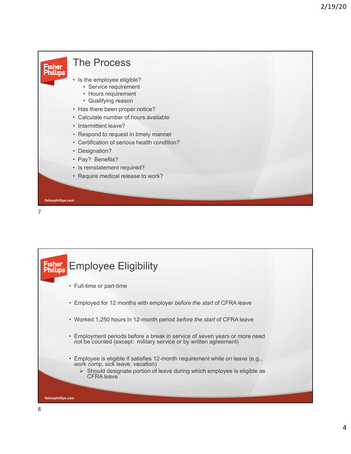

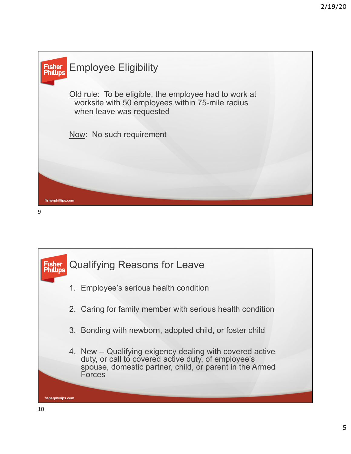



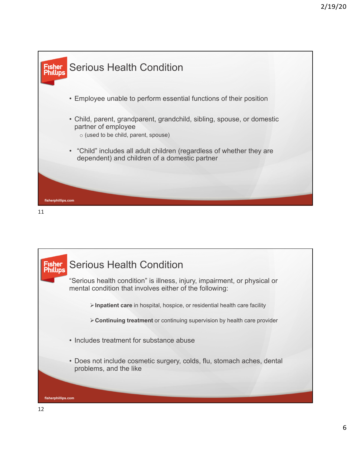



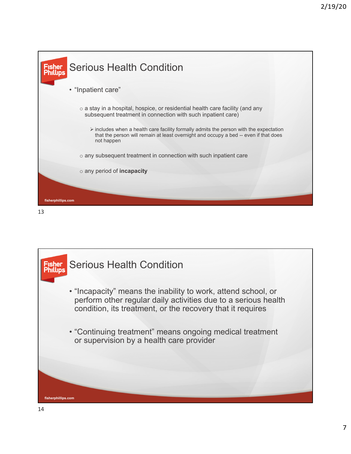

13

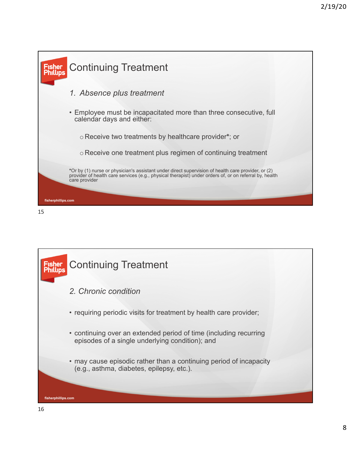

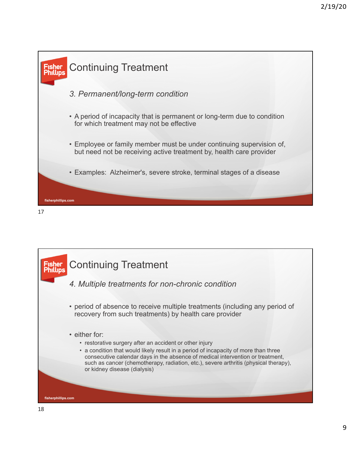

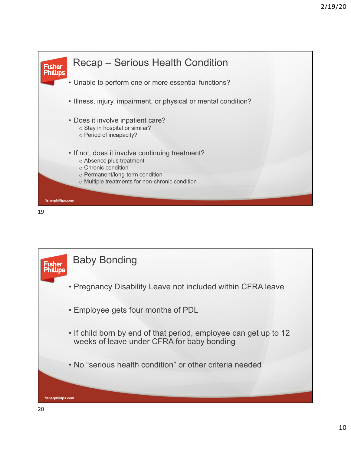



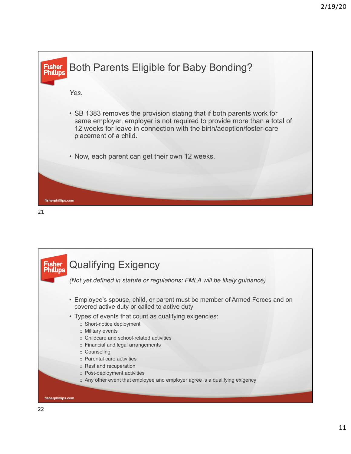

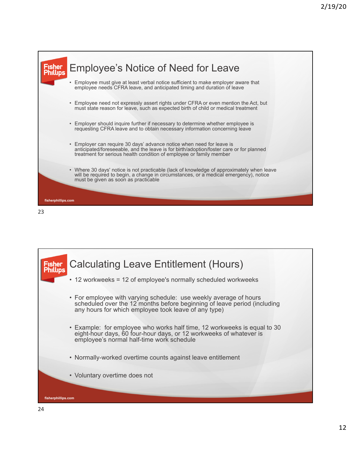

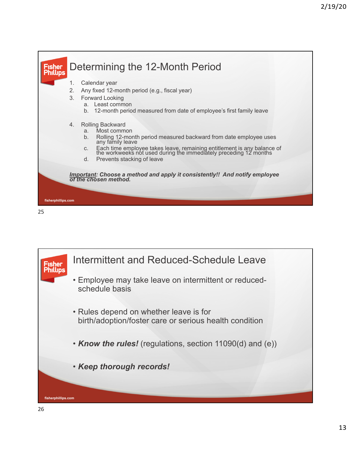



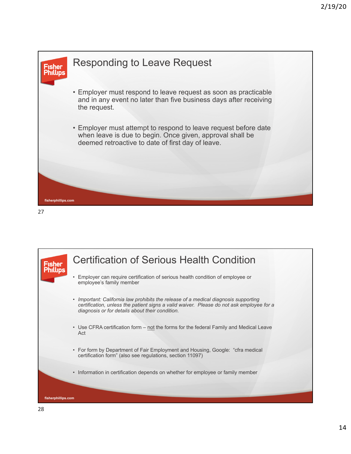

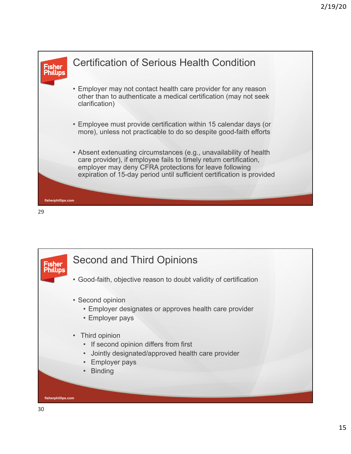

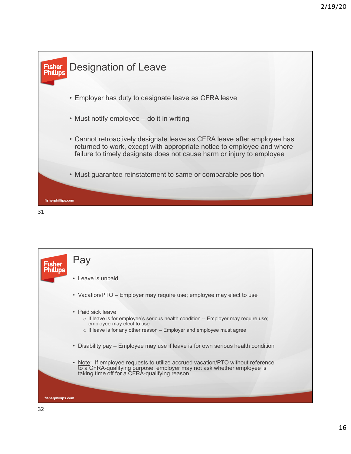

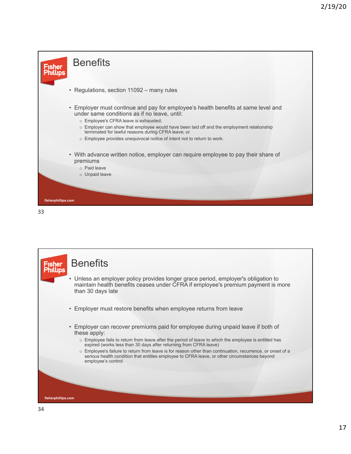

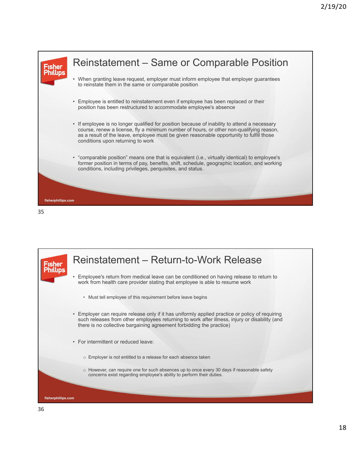



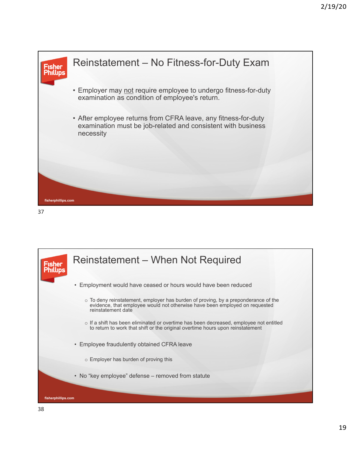

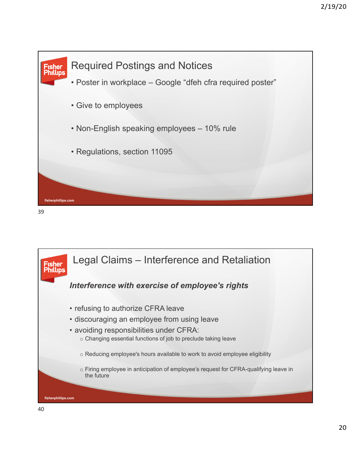

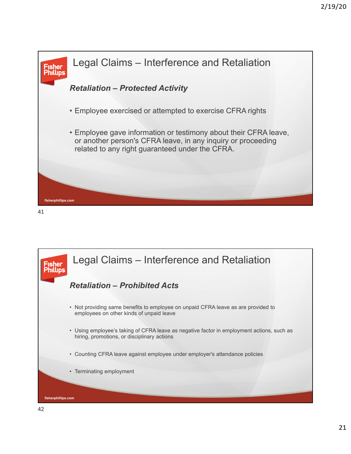

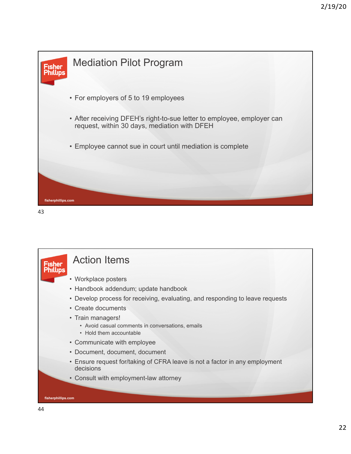